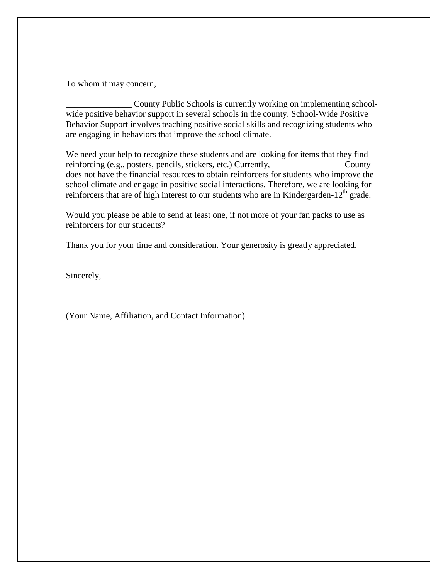To whom it may concern,

County Public Schools is currently working on implementing schoolwide positive behavior support in several schools in the county. School-Wide Positive Behavior Support involves teaching positive social skills and recognizing students who are engaging in behaviors that improve the school climate.

We need your help to recognize these students and are looking for items that they find reinforcing (e.g., posters, pencils, stickers, etc.) Currently, \_\_\_\_\_\_\_\_\_\_\_\_\_\_\_\_\_ County does not have the financial resources to obtain reinforcers for students who improve the school climate and engage in positive social interactions. Therefore, we are looking for reinforcers that are of high interest to our students who are in Kindergarden-12<sup>th</sup> grade.

Would you please be able to send at least one, if not more of your fan packs to use as reinforcers for our students?

Thank you for your time and consideration. Your generosity is greatly appreciated.

Sincerely,

(Your Name, Affiliation, and Contact Information)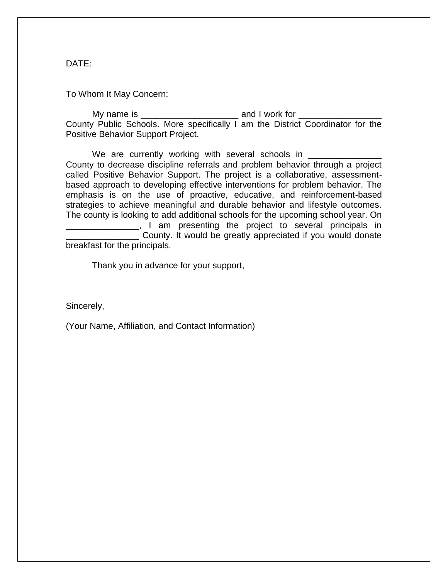DATE:

To Whom It May Concern:

My name is \_\_\_\_\_\_\_\_\_\_\_\_\_\_\_\_\_\_\_\_ and I work for \_\_\_\_\_\_\_\_\_\_\_\_\_\_\_\_\_ County Public Schools. More specifically I am the District Coordinator for the Positive Behavior Support Project.

We are currently working with several schools in \_ County to decrease discipline referrals and problem behavior through a project called Positive Behavior Support. The project is a collaborative, assessmentbased approach to developing effective interventions for problem behavior. The emphasis is on the use of proactive, educative, and reinforcement-based strategies to achieve meaningful and durable behavior and lifestyle outcomes. The county is looking to add additional schools for the upcoming school year. On <sub>\_\_\_\_</sub>, I am presenting the project to several principals in County. It would be greatly appreciated if you would donate breakfast for the principals.

Thank you in advance for your support,

Sincerely,

(Your Name, Affiliation, and Contact Information)